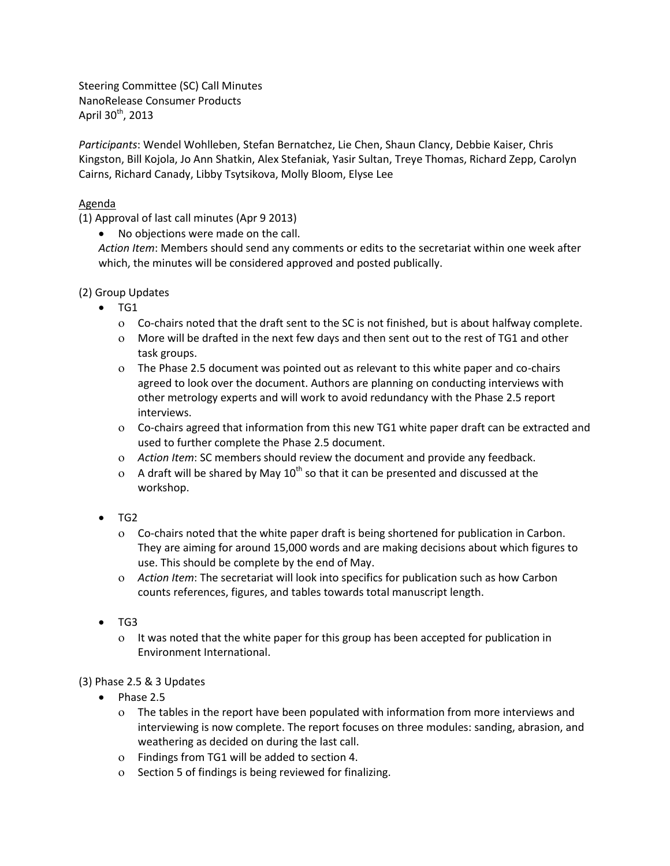Steering Committee (SC) Call Minutes NanoRelease Consumer Products April 30<sup>th</sup>, 2013

*Participants*: Wendel Wohlleben, Stefan Bernatchez, Lie Chen, Shaun Clancy, Debbie Kaiser, Chris Kingston, Bill Kojola, Jo Ann Shatkin, Alex Stefaniak, Yasir Sultan, Treye Thomas, Richard Zepp, Carolyn Cairns, Richard Canady, Libby Tsytsikova, Molly Bloom, Elyse Lee

## Agenda

(1) Approval of last call minutes (Apr 9 2013)

No objections were made on the call.

*Action Item*: Members should send any comments or edits to the secretariat within one week after which, the minutes will be considered approved and posted publically.

(2) Group Updates

- $\bullet$  TG1
	- Co-chairs noted that the draft sent to the SC is not finished, but is about halfway complete.
	- More will be drafted in the next few days and then sent out to the rest of TG1 and other task groups.
	- The Phase 2.5 document was pointed out as relevant to this white paper and co-chairs agreed to look over the document. Authors are planning on conducting interviews with other metrology experts and will work to avoid redundancy with the Phase 2.5 report interviews.
	- Co-chairs agreed that information from this new TG1 white paper draft can be extracted and used to further complete the Phase 2.5 document.
	- *Action Item*: SC members should review the document and provide any feedback.
	- $\alpha$  A draft will be shared by May 10<sup>th</sup> so that it can be presented and discussed at the workshop.
- TG2
	- Co-chairs noted that the white paper draft is being shortened for publication in Carbon. They are aiming for around 15,000 words and are making decisions about which figures to use. This should be complete by the end of May.
	- *Action Item*: The secretariat will look into specifics for publication such as how Carbon counts references, figures, and tables towards total manuscript length.
- $\bullet$  TG3
	- It was noted that the white paper for this group has been accepted for publication in Environment International.

## (3) Phase 2.5 & 3 Updates

- $\bullet$  Phase 2.5
	- The tables in the report have been populated with information from more interviews and interviewing is now complete. The report focuses on three modules: sanding, abrasion, and weathering as decided on during the last call.
	- Findings from TG1 will be added to section 4.
	- o Section 5 of findings is being reviewed for finalizing.